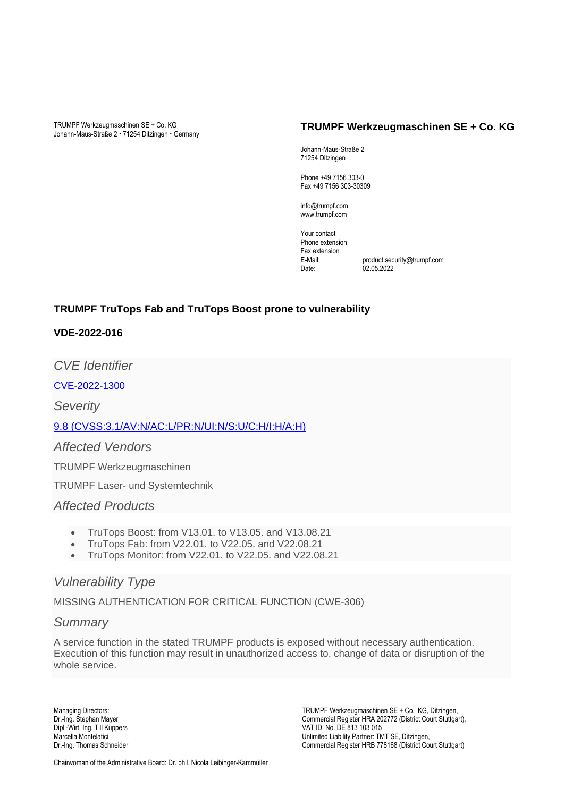TRUMPF Werkzeugmaschinen SE + Co. KG Johann-Maus-Straße 2 · 71254 Ditzingen · Germany

#### **TRUMPF Werkzeugmaschinen SE + Co. KG**

Johann-Maus-Straße 2 71254 Ditzingen

Phone +49 7156 303-0 Fax +49 7156 303-30309

info@trumpf.com www.trumpf.com

Your contact Phone extension Fax extension E-Mail: product.security@trumpf.com  $02.05.2022$ 

### **TRUMPF TruTops Fab and TruTops Boost prone to vulnerability**

### **VDE-2022-016**

*CVE Identifier*

[CVE-2022-1300](https://www.cve.org/CVERecord?id=CVE-2022-1300)

*Severity*

[9.8 \(CVSS:3.1/AV:N/AC:L/PR:N/UI:N/S:U/C:H/I:H/A:H\)](https://nvd.nist.gov/vuln-metrics/cvss/v3-calculator?vector=AV:N/AC:L/PR:N/UI:N/S:U/C:H/I:H/A:H&version=3.1)

*Affected Vendors*

TRUMPF Werkzeugmaschinen

TRUMPF Laser- und Systemtechnik

### *Affected Products*

- TruTops Boost: from V13.01. to V13.05. and V13.08.21
- TruTops Fab: from V22.01. to V22.05. and V22.08.21
- TruTops Monitor: from V22.01. to V22.05. and V22.08.21

### *Vulnerability Type*

MISSING AUTHENTICATION FOR CRITICAL FUNCTION (CWE-306)

### *Summary*

A service function in the stated TRUMPF products is exposed without necessary authentication. Execution of this function may result in unauthorized access to, change of data or disruption of the whole service.

Managing Directors: TRUMPF Werkzeugmaschinen SE + Co. KG, Ditzingen, Dr.-Ing. Stephan Mayer Commercial Register HRA 202772 (District Court Stuttgart), Dipl.-Wirt. Ing. Till Küppers VAT ID. No. DE 813 103 015 Marcella Montelatici in a material control of the Unlimited Liability Partner: TMT SE, Ditzingen, Dr.-Ing. Thomas Schneider Commercial Register HRB 778168 (District Co Commercial Register HRB 778168 (District Court Stuttgart)